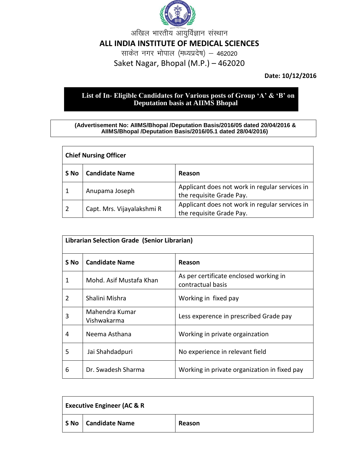

अखिल भारतीय आयुर्विज्ञान संस्थान

## **ALL INDIA INSTITUTE OF MEDICAL SCIENCES**

साकेत नगर भोपाल (मध्यप्रदेष) – 462020 Saket Nagar, Bhopal (M.P.) – 462020

**Date: 10/12/2016**

## **List of In- Eligible Candidates for Various posts of Group 'A' & 'B' on Deputation basis at AIIMS Bhopal**

## **(Advertisement No: AIIMS/Bhopal /Deputation Basis/2016/05 dated 20/04/2016 & AIIMS/Bhopal /Deputation Basis/2016/05.1 dated 28/04/2016)**

| <b>Chief Nursing Officer</b> |                            |                                                                            |
|------------------------------|----------------------------|----------------------------------------------------------------------------|
| S No                         | <b>Candidate Name</b>      | Reason                                                                     |
|                              | Anupama Joseph             | Applicant does not work in regular services in<br>the requisite Grade Pay. |
| 2                            | Capt. Mrs. Vijayalakshmi R | Applicant does not work in regular services in<br>the requisite Grade Pay. |

| Librarian Selection Grade (Senior Librarian) |                               |                                                             |
|----------------------------------------------|-------------------------------|-------------------------------------------------------------|
| S No                                         | <b>Candidate Name</b>         | Reason                                                      |
| 1                                            | Mohd. Asif Mustafa Khan       | As per certificate enclosed working in<br>contractual basis |
| $\mathcal{P}$                                | Shalini Mishra                | Working in fixed pay                                        |
| 3                                            | Mahendra Kumar<br>Vishwakarma | Less experence in prescribed Grade pay                      |
| 4                                            | Neema Asthana                 | Working in private orgainzation                             |
| 5                                            | Jai Shahdadpuri               | No experience in relevant field                             |
| 6                                            | Dr. Swadesh Sharma            | Working in private organization in fixed pay                |

| <b>Executive Engineer (AC &amp; R</b> |                       |        |
|---------------------------------------|-----------------------|--------|
|                                       | S No   Candidate Name | Reason |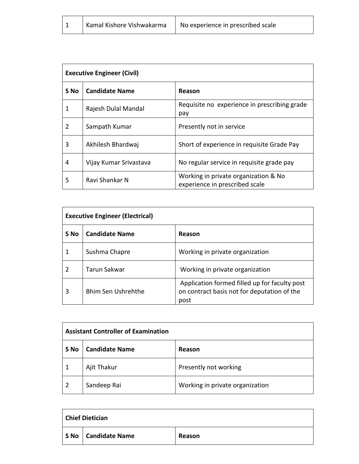| Kamal Kishore Vishwakarma | No experience in prescribed scale |
|---------------------------|-----------------------------------|

| <b>Executive Engineer (Civil)</b> |                        |                                                                        |
|-----------------------------------|------------------------|------------------------------------------------------------------------|
| S No                              | <b>Candidate Name</b>  | Reason                                                                 |
| 1                                 | Rajesh Dulal Mandal    | Requisite no experience in prescribing grade<br>pay                    |
| 2                                 | Sampath Kumar          | Presently not in service                                               |
| 3                                 | Akhilesh Bhardwaj      | Short of experience in requisite Grade Pay                             |
| 4                                 | Vijay Kumar Srivastava | No regular service in requisite grade pay                              |
| 5                                 | Ravi Shankar N         | Working in private organization & No<br>experience in prescribed scale |

| <b>Executive Engineer (Electrical)</b> |                           |                                                                                                      |
|----------------------------------------|---------------------------|------------------------------------------------------------------------------------------------------|
| S No                                   | <b>Candidate Name</b>     | Reason                                                                                               |
|                                        | Sushma Chapre             | Working in private organization                                                                      |
| $\mathcal{P}$                          | <b>Tarun Sakwar</b>       | Working in private organization                                                                      |
| 3                                      | <b>Bhim Sen Ushrehthe</b> | Application formed filled up for faculty post<br>on contract basis not for deputation of the<br>post |

| <b>Assistant Controller of Examination</b> |                       |                                 |
|--------------------------------------------|-----------------------|---------------------------------|
| S No                                       | <b>Candidate Name</b> | Reason                          |
|                                            | Ajit Thakur           | Presently not working           |
| $\overline{2}$                             | Sandeep Rai           | Working in private organization |

| <b>Chief Dietician</b> |                       |        |
|------------------------|-----------------------|--------|
|                        | S No   Candidate Name | Reason |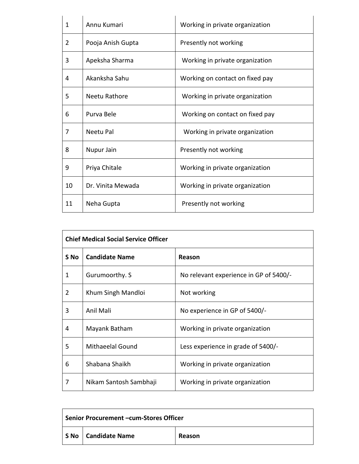| 1  | Annu Kumari       | Working in private organization |
|----|-------------------|---------------------------------|
| 2  | Pooja Anish Gupta | Presently not working           |
| 3  | Apeksha Sharma    | Working in private organization |
| 4  | Akanksha Sahu     | Working on contact on fixed pay |
| 5  | Neetu Rathore     | Working in private organization |
| 6  | Purva Bele        | Working on contact on fixed pay |
| 7  | Neetu Pal         | Working in private organization |
| 8  | Nupur Jain        | Presently not working           |
| 9  | Priya Chitale     | Working in private organization |
| 10 | Dr. Vinita Mewada | Working in private organization |
| 11 | Neha Gupta        | Presently not working           |

| <b>Chief Medical Social Service Officer</b> |                         |                                        |
|---------------------------------------------|-------------------------|----------------------------------------|
| S No                                        | <b>Candidate Name</b>   | Reason                                 |
| 1                                           | Gurumoorthy. S          | No relevant experience in GP of 5400/- |
| $\overline{2}$                              | Khum Singh Mandloi      | Not working                            |
| 3                                           | Anil Mali               | No experience in GP of 5400/-          |
| 4                                           | Mayank Batham           | Working in private organization        |
| 5                                           | <b>Mithaeelal Gound</b> | Less experience in grade of 5400/-     |
| 6                                           | Shabana Shaikh          | Working in private organization        |
| 7                                           | Nikam Santosh Sambhaji  | Working in private organization        |

| Senior Procurement - cum-Stores Officer |        |
|-----------------------------------------|--------|
| S No   Candidate Name                   | Reason |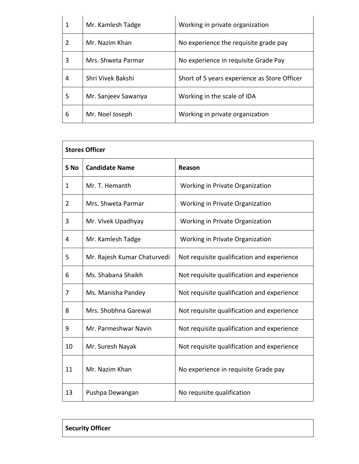| 1 | Mr. Kamlesh Tadge    | Working in private organization              |
|---|----------------------|----------------------------------------------|
| 2 | Mr. Nazim Khan       | No experience the requisite grade pay        |
| 3 | Mrs. Shweta Parmar   | No experience in requisite Grade Pay         |
| 4 | Shri Vivek Bakshi    | Short of 5 years experience as Store Officer |
| 5 | Mr. Sanjeev Sawariya | Working in the scale of IDA                  |
| 6 | Mr. Noel Joseph      | Working in private organization              |

| <b>Stores Officer</b> |                             |                                            |
|-----------------------|-----------------------------|--------------------------------------------|
| S No                  | <b>Candidate Name</b>       | Reason                                     |
| 1                     | Mr. T. Hemanth              | Working in Private Organization            |
| $\overline{2}$        | Mrs. Shweta Parmar          | Working in Private Organization            |
| 3                     | Mr. Vivek Upadhyay          | Working in Private Organization            |
| 4                     | Mr. Kamlesh Tadge           | Working in Private Organization            |
| 5                     | Mr. Rajesh Kumar Chaturvedi | Not requisite qualification and experience |
| 6                     | Ms. Shabana Shaikh          | Not requisite qualification and experience |
| 7                     | Ms. Manisha Pandey          | Not requisite qualification and experience |
| 8                     | Mrs. Shobhna Garewal        | Not requisite qualification and experience |
| 9                     | Mr. Parmeshwar Navin        | Not requisite qualification and experience |
| 10                    | Mr. Suresh Nayak            | Not requisite qualification and experience |
| 11                    | Mr. Nazim Khan              | No experience in requisite Grade pay       |
| 13                    | Pushpa Dewangan             | No requisite qualification                 |

**Security Officer**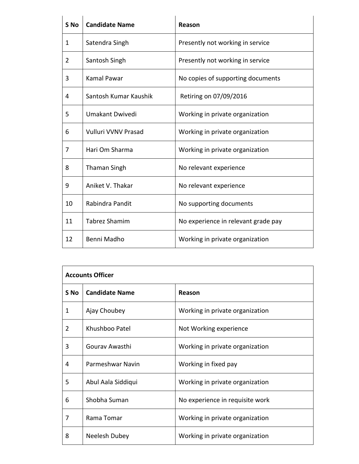| S <sub>No</sub> | <b>Candidate Name</b> | <b>Reason</b>                       |
|-----------------|-----------------------|-------------------------------------|
| 1               | Satendra Singh        | Presently not working in service    |
| $\overline{2}$  | Santosh Singh         | Presently not working in service    |
| 3               | Kamal Pawar           | No copies of supporting documents   |
| 4               | Santosh Kumar Kaushik | Retiring on 07/09/2016              |
| 5               | Umakant Dwivedi       | Working in private organization     |
| 6               | Vulluri VVNV Prasad   | Working in private organization     |
| 7               | Hari Om Sharma        | Working in private organization     |
| 8               | <b>Thaman Singh</b>   | No relevant experience              |
| 9               | Aniket V. Thakar      | No relevant experience              |
| 10              | Rabindra Pandit       | No supporting documents             |
| 11              | <b>Tabrez Shamim</b>  | No experience in relevant grade pay |
| 12              | Benni Madho           | Working in private organization     |

| <b>Accounts Officer</b> |                       |                                 |
|-------------------------|-----------------------|---------------------------------|
| S No                    | <b>Candidate Name</b> | Reason                          |
| 1                       | Ajay Choubey          | Working in private organization |
| 2                       | Khushboo Patel        | Not Working experience          |
| 3                       | Gouray Awasthi        | Working in private organization |
| 4                       | Parmeshwar Navin      | Working in fixed pay            |
| 5                       | Abul Aala Siddiqui    | Working in private organization |
| 6                       | Shobha Suman          | No experience in requisite work |
| 7                       | Rama Tomar            | Working in private organization |
| 8                       | Neelesh Dubey         | Working in private organization |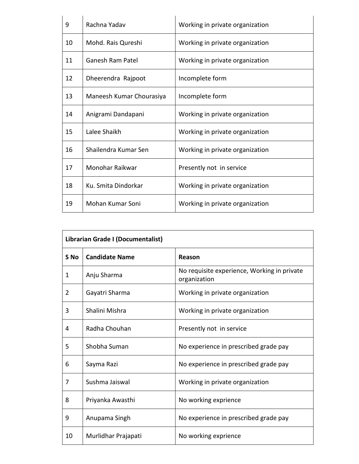| 9  | Rachna Yadav             | Working in private organization |
|----|--------------------------|---------------------------------|
| 10 | Mohd. Rais Qureshi       | Working in private organization |
| 11 | Ganesh Ram Patel         | Working in private organization |
| 12 | Dheerendra Rajpoot       | Incomplete form                 |
| 13 | Maneesh Kumar Chourasiya | Incomplete form                 |
| 14 | Anigrami Dandapani       | Working in private organization |
| 15 | Lalee Shaikh             | Working in private organization |
| 16 | Shailendra Kumar Sen     | Working in private organization |
| 17 | Monohar Raikwar          | Presently not in service        |
| 18 | Ku. Smita Dindorkar      | Working in private organization |
| 19 | Mohan Kumar Soni         | Working in private organization |

| Librarian Grade I (Documentalist) |                       |                                                             |
|-----------------------------------|-----------------------|-------------------------------------------------------------|
| S <sub>No</sub>                   | <b>Candidate Name</b> | Reason                                                      |
| 1                                 | Anju Sharma           | No requisite experience, Working in private<br>organization |
| 2                                 | Gayatri Sharma        | Working in private organization                             |
| 3                                 | Shalini Mishra        | Working in private organization                             |
| 4                                 | Radha Chouhan         | Presently not in service                                    |
| 5                                 | Shobha Suman          | No experience in prescribed grade pay                       |
| 6                                 | Sayma Razi            | No experience in prescribed grade pay                       |
| 7                                 | Sushma Jaiswal        | Working in private organization                             |
| 8                                 | Priyanka Awasthi      | No working exprience                                        |
| 9                                 | Anupama Singh         | No experience in prescribed grade pay                       |
| 10                                | Murlidhar Prajapati   | No working exprience                                        |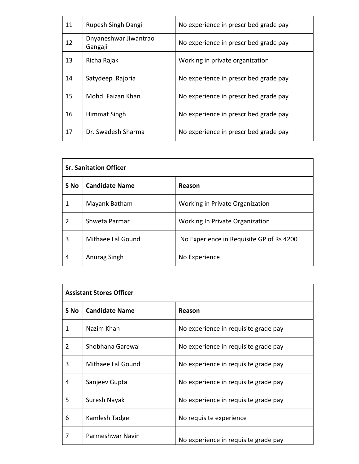| 11 | Rupesh Singh Dangi               | No experience in prescribed grade pay |
|----|----------------------------------|---------------------------------------|
| 12 | Dnyaneshwar Jiwantrao<br>Gangaji | No experience in prescribed grade pay |
| 13 | Richa Rajak                      | Working in private organization       |
| 14 | Satydeep Rajoria                 | No experience in prescribed grade pay |
| 15 | Mohd. Faizan Khan                | No experience in prescribed grade pay |
| 16 | Himmat Singh                     | No experience in prescribed grade pay |
| 17 | Dr. Swadesh Sharma               | No experience in prescribed grade pay |

| <b>Sr. Sanitation Officer</b> |                       |                                          |
|-------------------------------|-----------------------|------------------------------------------|
| S No                          | <b>Candidate Name</b> | Reason                                   |
| 1                             | Mayank Batham         | Working in Private Organization          |
| 2                             | Shweta Parmar         | Working In Private Organization          |
| 3                             | Mithaee Lal Gound     | No Experience in Requisite GP of Rs 4200 |
| 4                             | Anurag Singh          | No Experience                            |

| <b>Assistant Stores Officer</b> |                       |                                      |
|---------------------------------|-----------------------|--------------------------------------|
| S No                            | <b>Candidate Name</b> | Reason                               |
| 1                               | Nazim Khan            | No experience in requisite grade pay |
| $\overline{2}$                  | Shobhana Garewal      | No experience in requisite grade pay |
| 3                               | Mithaee Lal Gound     | No experience in requisite grade pay |
| 4                               | Sanjeev Gupta         | No experience in requisite grade pay |
| 5                               | Suresh Nayak          | No experience in requisite grade pay |
| 6                               | Kamlesh Tadge         | No requisite experience              |
| 7                               | Parmeshwar Navin      | No experience in requisite grade pay |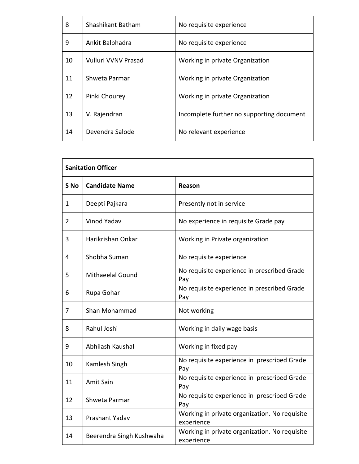| 8  | Shashikant Batham   | No requisite experience                   |
|----|---------------------|-------------------------------------------|
| 9  | Ankit Balbhadra     | No requisite experience                   |
| 10 | Vulluri VVNV Prasad | Working in private Organization           |
| 11 | Shweta Parmar       | Working in private Organization           |
| 12 | Pinki Chourey       | Working in private Organization           |
| 13 | V. Rajendran        | Incomplete further no supporting document |
| 14 | Devendra Salode     | No relevant experience                    |

| <b>Sanitation Officer</b> |                          |                                                             |
|---------------------------|--------------------------|-------------------------------------------------------------|
| S <sub>No</sub>           | <b>Candidate Name</b>    | Reason                                                      |
| 1                         | Deepti Pajkara           | Presently not in service                                    |
| 2                         | <b>Vinod Yadav</b>       | No experience in requisite Grade pay                        |
| 3                         | Harikrishan Onkar        | Working in Private organization                             |
| 4                         | Shobha Suman             | No requisite experience                                     |
| 5                         | <b>Mithaeelal Gound</b>  | No requisite experience in prescribed Grade<br>Pay          |
| 6                         | Rupa Gohar               | No requisite experience in prescribed Grade<br>Pay          |
| 7                         | Shan Mohammad            | Not working                                                 |
| 8                         | Rahul Joshi              | Working in daily wage basis                                 |
| 9                         | Abhilash Kaushal         | Working in fixed pay                                        |
| 10                        | Kamlesh Singh            | No requisite experience in prescribed Grade<br>Pay          |
| 11                        | <b>Amit Sain</b>         | No requisite experience in prescribed Grade<br>Pay          |
| 12                        | Shweta Parmar            | No requisite experience in prescribed Grade<br>Pay          |
| 13                        | Prashant Yadav           | Working in private organization. No requisite<br>experience |
| 14                        | Beerendra Singh Kushwaha | Working in private organization. No requisite<br>experience |